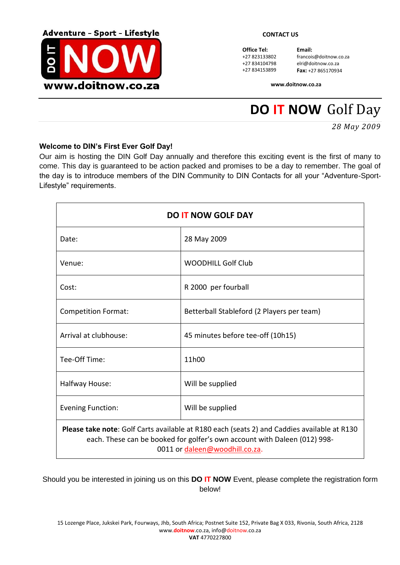

**Office Tel: Email:**<br>+27 823133802 **francois** 

francois@doitnow.co.za +27 834104798 elri@doitnow.co.za<br>+27 834153899 **Fax:** +27 86517093 +27 834153899 **Fax:** +27 865170934

**www.doitnow.co.za**

# **DO IT NOW** Golf Day

*28 May 2009*

### **Welcome to DIN's First Ever Golf Day!**

Our aim is hosting the DIN Golf Day annually and therefore this exciting event is the first of many to come. This day is guaranteed to be action packed and promises to be a day to remember. The goal of the day is to introduce members of the DIN Community to DIN Contacts for all your "Adventure-Sport-Lifestyle" requirements.

| <b>DO IT NOW GOLF DAY</b>                                                                                                                                                                                         |                                            |  |  |  |  |
|-------------------------------------------------------------------------------------------------------------------------------------------------------------------------------------------------------------------|--------------------------------------------|--|--|--|--|
| Date:                                                                                                                                                                                                             | 28 May 2009                                |  |  |  |  |
| Venue:                                                                                                                                                                                                            | <b>WOODHILL Golf Club</b>                  |  |  |  |  |
| Cost:                                                                                                                                                                                                             | R 2000 per fourball                        |  |  |  |  |
| <b>Competition Format:</b>                                                                                                                                                                                        | Betterball Stableford (2 Players per team) |  |  |  |  |
| Arrival at clubhouse:                                                                                                                                                                                             | 45 minutes before tee-off (10h15)          |  |  |  |  |
| Tee-Off Time:                                                                                                                                                                                                     | 11h00                                      |  |  |  |  |
| Halfway House:                                                                                                                                                                                                    | Will be supplied                           |  |  |  |  |
| <b>Evening Function:</b>                                                                                                                                                                                          | Will be supplied                           |  |  |  |  |
| <b>Please take note:</b> Golf Carts available at R180 each (seats 2) and Caddies available at R130<br>each. These can be booked for golfer's own account with Daleen (012) 998-<br>0011 or daleen@woodhill.co.za. |                                            |  |  |  |  |

Should you be interested in joining us on this **DO IT NOW** Event, please complete the registration form below!